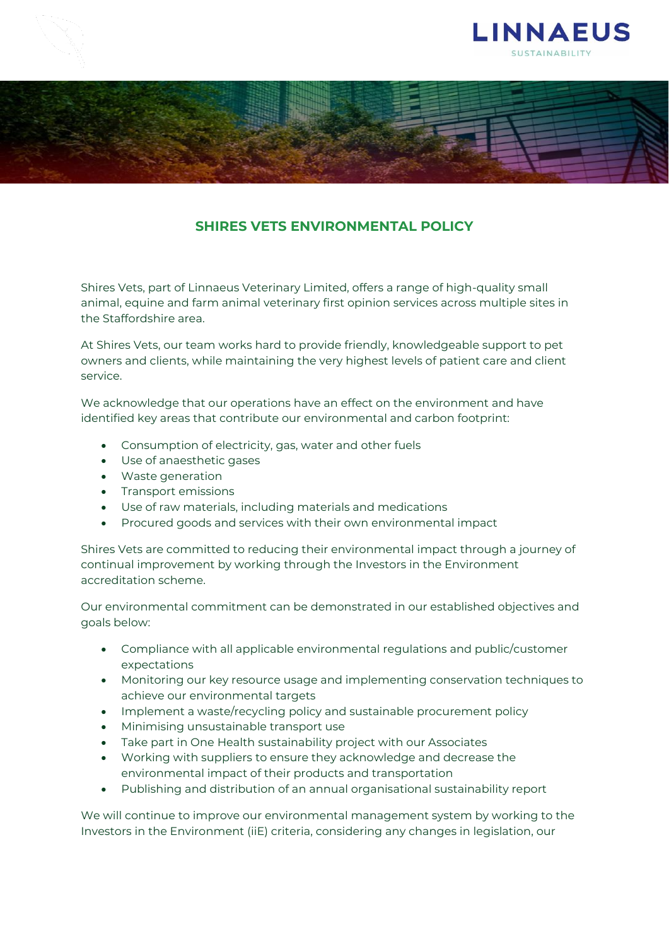



## **SHIRES VETS ENVIRONMENTAL POLICY**

Shires Vets, part of Linnaeus Veterinary Limited, offers a range of high-quality small animal, equine and farm animal veterinary first opinion services across multiple sites in the Staffordshire area.

At Shires Vets, our team works hard to provide friendly, knowledgeable support to pet owners and clients, while maintaining the very highest levels of patient care and client service.

We acknowledge that our operations have an effect on the environment and have identified key areas that contribute our environmental and carbon footprint:

- Consumption of electricity, gas, water and other fuels
- Use of anaesthetic gases
- Waste generation
- Transport emissions
- Use of raw materials, including materials and medications
- Procured goods and services with their own environmental impact

Shires Vets are committed to reducing their environmental impact through a journey of continual improvement by working through the Investors in the Environment accreditation scheme.

Our environmental commitment can be demonstrated in our established objectives and goals below:

- Compliance with all applicable environmental regulations and public/customer expectations
- Monitoring our key resource usage and implementing conservation techniques to achieve our environmental targets
- Implement a waste/recycling policy and sustainable procurement policy
- Minimising unsustainable transport use
- Take part in One Health sustainability project with our Associates
- Working with suppliers to ensure they acknowledge and decrease the environmental impact of their products and transportation
- Publishing and distribution of an annual organisational sustainability report

We will continue to improve our environmental management system by working to the Investors in the Environment (iiE) criteria, considering any changes in legislation, our